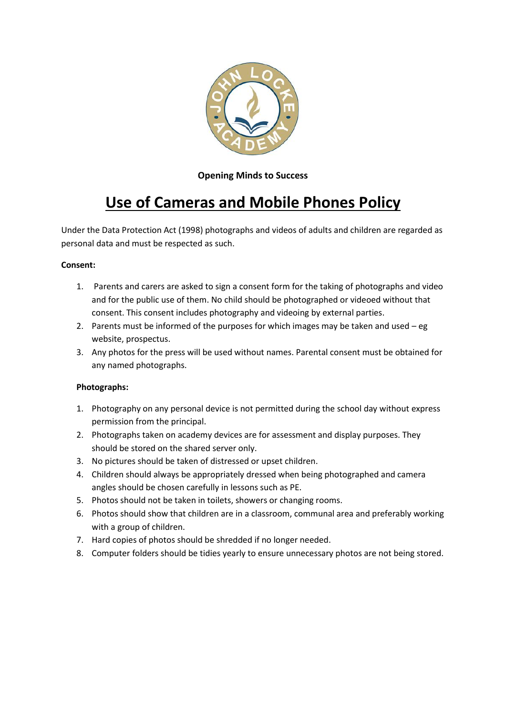

## **Opening Minds to Success**

# **Use of Cameras and Mobile Phones Policy**

Under the Data Protection Act (1998) photographs and videos of adults and children are regarded as personal data and must be respected as such.

#### **Consent:**

- 1. Parents and carers are asked to sign a consent form for the taking of photographs and video and for the public use of them. No child should be photographed or videoed without that consent. This consent includes photography and videoing by external parties.
- 2. Parents must be informed of the purposes for which images may be taken and used eg website, prospectus.
- 3. Any photos for the press will be used without names. Parental consent must be obtained for any named photographs.

## **Photographs:**

- 1. Photography on any personal device is not permitted during the school day without express permission from the principal.
- 2. Photographs taken on academy devices are for assessment and display purposes. They should be stored on the shared server only.
- 3. No pictures should be taken of distressed or upset children.
- 4. Children should always be appropriately dressed when being photographed and camera angles should be chosen carefully in lessons such as PE.
- 5. Photos should not be taken in toilets, showers or changing rooms.
- 6. Photos should show that children are in a classroom, communal area and preferably working with a group of children.
- 7. Hard copies of photos should be shredded if no longer needed.
- 8. Computer folders should be tidies yearly to ensure unnecessary photos are not being stored.